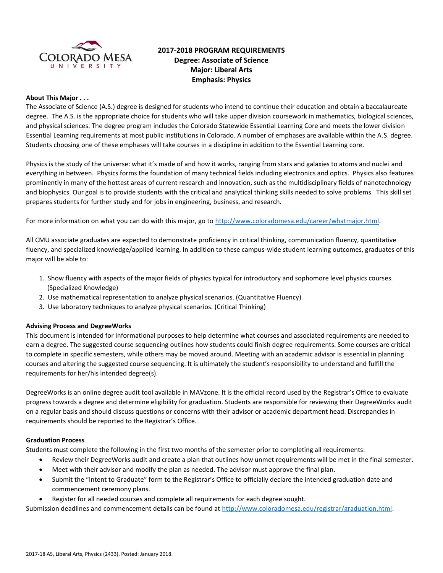

# **2017-2018 PROGRAM REQUIREMENTS Degree: Associate of Science Major: Liberal Arts Emphasis: Physics**

#### **About This Major . . .**

The Associate of Science (A.S.) degree is designed for students who intend to continue their education and obtain a baccalaureate degree. The A.S. is the appropriate choice for students who will take upper division coursework in mathematics, biological sciences, and physical sciences. The degree program includes the Colorado Statewide Essential Learning Core and meets the lower division Essential Learning requirements at most public institutions in Colorado. A number of emphases are available within the A.S. degree. Students choosing one of these emphases will take courses in a discipline in addition to the Essential Learning core.

Physics is the study of the universe: what it's made of and how it works, ranging from stars and galaxies to atoms and nuclei and everything in between. Physics forms the foundation of many technical fields including electronics and optics. Physics also features prominently in many of the hottest areas of current research and innovation, such as the multidisciplinary fields of nanotechnology and biophysics. Our goal is to provide students with the critical and analytical thinking skills needed to solve problems. This skill set prepares students for further study and for jobs in engineering, business, and research.

For more information on what you can do with this major, go t[o http://www.coloradomesa.edu/career/whatmajor.html.](http://www.coloradomesa.edu/career/whatmajor.html) 

All CMU associate graduates are expected to demonstrate proficiency in critical thinking, communication fluency, quantitative fluency, and specialized knowledge/applied learning. In addition to these campus-wide student learning outcomes, graduates of this major will be able to:

- 1. Show fluency with aspects of the major fields of physics typical for introductory and sophomore level physics courses. (Specialized Knowledge)
- 2. Use mathematical representation to analyze physical scenarios. (Quantitative Fluency)
- 3. Use laboratory techniques to analyze physical scenarios. (Critical Thinking)

#### **Advising Process and DegreeWorks**

This document is intended for informational purposes to help determine what courses and associated requirements are needed to earn a degree. The suggested course sequencing outlines how students could finish degree requirements. Some courses are critical to complete in specific semesters, while others may be moved around. Meeting with an academic advisor is essential in planning courses and altering the suggested course sequencing. It is ultimately the student's responsibility to understand and fulfill the requirements for her/his intended degree(s).

DegreeWorks is an online degree audit tool available in MAVzone. It is the official record used by the Registrar's Office to evaluate progress towards a degree and determine eligibility for graduation. Students are responsible for reviewing their DegreeWorks audit on a regular basis and should discuss questions or concerns with their advisor or academic department head. Discrepancies in requirements should be reported to the Registrar's Office.

#### **Graduation Process**

Students must complete the following in the first two months of the semester prior to completing all requirements:

- Review their DegreeWorks audit and create a plan that outlines how unmet requirements will be met in the final semester.
- Meet with their advisor and modify the plan as needed. The advisor must approve the final plan.
- Submit the "Intent to Graduate" form to the Registrar's Office to officially declare the intended graduation date and commencement ceremony plans.
- Register for all needed courses and complete all requirements for each degree sought.

Submission deadlines and commencement details can be found at [http://www.coloradomesa.edu/registrar/graduation.html.](http://www.coloradomesa.edu/registrar/graduation.html)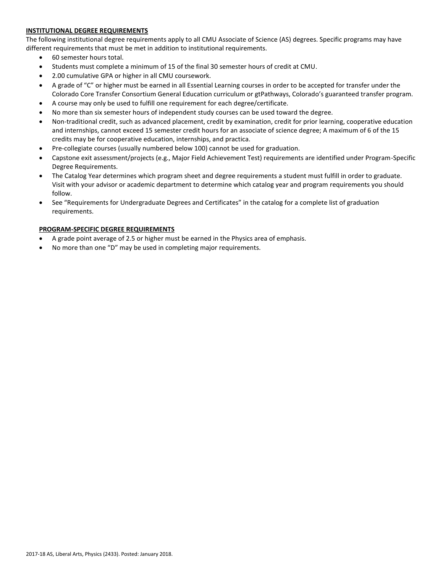### **INSTITUTIONAL DEGREE REQUIREMENTS**

The following institutional degree requirements apply to all CMU Associate of Science (AS) degrees. Specific programs may have different requirements that must be met in addition to institutional requirements.

- 60 semester hours total.
- Students must complete a minimum of 15 of the final 30 semester hours of credit at CMU.
- 2.00 cumulative GPA or higher in all CMU coursework.
- A grade of "C" or higher must be earned in all Essential Learning courses in order to be accepted for transfer under the Colorado Core Transfer Consortium General Education curriculum or gtPathways, Colorado's guaranteed transfer program.
- A course may only be used to fulfill one requirement for each degree/certificate.
- No more than six semester hours of independent study courses can be used toward the degree.
- Non-traditional credit, such as advanced placement, credit by examination, credit for prior learning, cooperative education and internships, cannot exceed 15 semester credit hours for an associate of science degree; A maximum of 6 of the 15 credits may be for cooperative education, internships, and practica.
- Pre-collegiate courses (usually numbered below 100) cannot be used for graduation.
- Capstone exit assessment/projects (e.g., Major Field Achievement Test) requirements are identified under Program-Specific Degree Requirements.
- The Catalog Year determines which program sheet and degree requirements a student must fulfill in order to graduate. Visit with your advisor or academic department to determine which catalog year and program requirements you should follow.
- See "Requirements for Undergraduate Degrees and Certificates" in the catalog for a complete list of graduation requirements.

# **PROGRAM-SPECIFIC DEGREE REQUIREMENTS**

- A grade point average of 2.5 or higher must be earned in the Physics area of emphasis.
- No more than one "D" may be used in completing major requirements.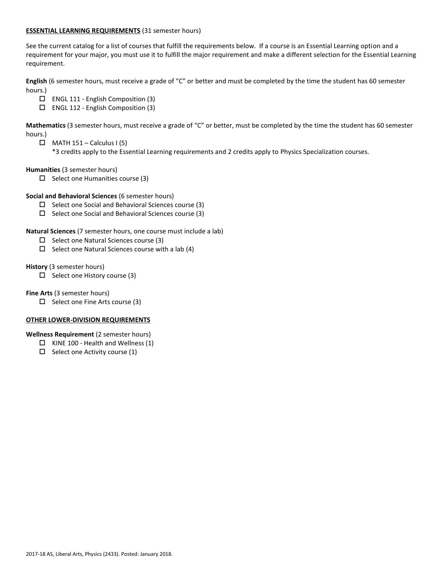#### **ESSENTIAL LEARNING REQUIREMENTS** (31 semester hours)

See the current catalog for a list of courses that fulfill the requirements below. If a course is an Essential Learning option and a requirement for your major, you must use it to fulfill the major requirement and make a different selection for the Essential Learning requirement.

**English** (6 semester hours, must receive a grade of "C" or better and must be completed by the time the student has 60 semester hours.)

- ENGL 111 English Composition (3)
- ENGL 112 English Composition (3)

**Mathematics** (3 semester hours, must receive a grade of "C" or better, must be completed by the time the student has 60 semester hours.)

 $\Box$  MATH 151 – Calculus I (5)

\*3 credits apply to the Essential Learning requirements and 2 credits apply to Physics Specialization courses.

**Humanities** (3 semester hours)

 $\square$  Select one Humanities course (3)

#### **Social and Behavioral Sciences** (6 semester hours)

- $\square$  Select one Social and Behavioral Sciences course (3)
- $\square$  Select one Social and Behavioral Sciences course (3)

**Natural Sciences** (7 semester hours, one course must include a lab)

- $\Box$  Select one Natural Sciences course (3)
- $\square$  Select one Natural Sciences course with a lab (4)

**History** (3 semester hours)

 $\Box$  Select one History course (3)

**Fine Arts** (3 semester hours)

 $\Box$  Select one Fine Arts course (3)

#### **OTHER LOWER-DIVISION REQUIREMENTS**

**Wellness Requirement** (2 semester hours)

- $\Box$  KINE 100 Health and Wellness (1)
- $\Box$  Select one Activity course (1)